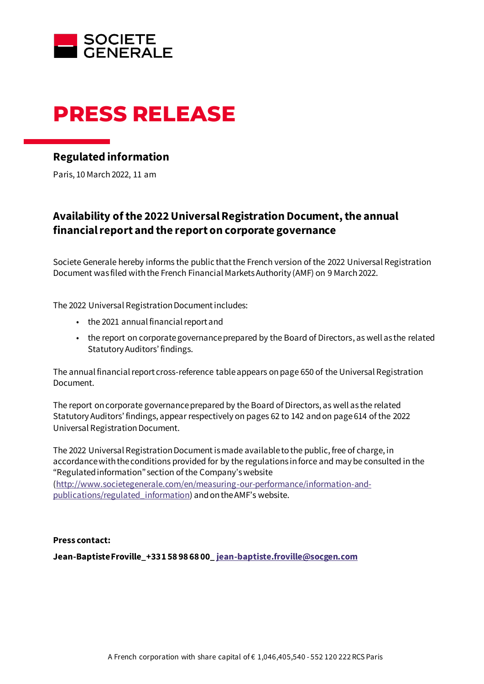

# **PRESS RELEASE**

## **Regulated information**

Paris, 10 March 2022, 11 am

## **Availability of the 2022UniversalRegistration Document, the annual financial report and the report on corporate governance**

Societe Generale hereby informs the public that the French version of the 2022 Universal Registration Document was filed with the French Financial Markets Authority (AMF) on 9 March 2022.

The 2022 Universal Registration Document includes:

- the 2021 annual financial report and
- the report on corporate governance prepared by the Board of Directors, as well as the related Statutory Auditors' findings.

The annual financial report cross-reference table appears on page 650 of the Universal Registration Document.

The report on corporate governance prepared by the Board of Directors, as well as the related Statutory Auditors' findings, appear respectively on pages 62 to 142 and on page 614 of the 2022 Universal Registration Document.

The 2022 Universal Registration Document is made available to the public, free of charge, in accordance with the conditions provided for by the regulations in force and may be consulted in the "Regulated information" section of the Company's website [\(http://www.societegenerale.com/en/measuring-our-performance/information-and-](http://www.societegenerale.com/en/measuring-our-performance/information-and-publications/regulated_information)

[publications/regulated\\_information](http://www.societegenerale.com/en/measuring-our-performance/information-and-publications/regulated_information)) and on the AMF's website.

### **Press contact:**

**Jean-Baptiste Froville\_+33 1 58 98 68 00[\\_ jean-baptiste.froville@socgen.com](mailto:jean-baptiste.froville@socgen.com)**